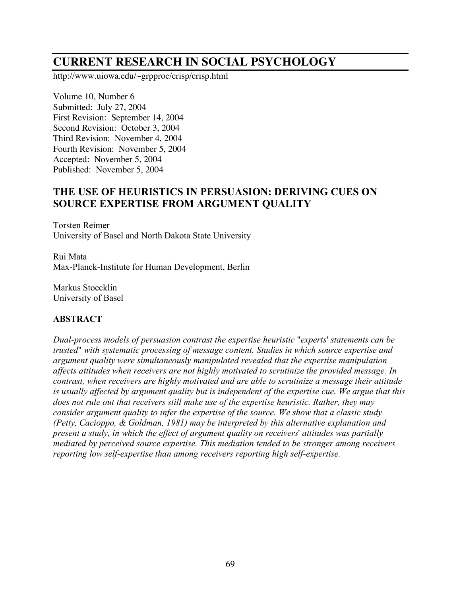# **CURRENT RESEARCH IN SOCIAL PSYCHOLOGY**

http://www.uiowa.edu/~grpproc/crisp/crisp.html

Volume 10, Number 6 Submitted: July 27, 2004 First Revision: September 14, 2004 Second Revision: October 3, 2004 Third Revision: November 4, 2004 Fourth Revision: November 5, 2004 Accepted: November 5, 2004 Published: November 5, 2004

## **THE USE OF HEURISTICS IN PERSUASION: DERIVING CUES ON SOURCE EXPERTISE FROM ARGUMENT QUALITY**

Torsten Reimer University of Basel and North Dakota State University

Rui Mata Max-Planck-Institute for Human Development, Berlin

Markus Stoecklin University of Basel

## **ABSTRACT**

*Dual-process models of persuasion contrast the expertise heuristic* "*experts*' *statements can be trusted*" *with systematic processing of message content. Studies in which source expertise and argument quality were simultaneously manipulated revealed that the expertise manipulation affects attitudes when receivers are not highly motivated to scrutinize the provided message. In contrast, when receivers are highly motivated and are able to scrutinize a message their attitude is usually affected by argument quality but is independent of the expertise cue. We argue that this does not rule out that receivers still make use of the expertise heuristic. Rather, they may consider argument quality to infer the expertise of the source. We show that a classic study (Petty, Cacioppo, & Goldman, 1981) may be interpreted by this alternative explanation and present a study, in which the effect of argument quality on receivers*' *attitudes was partially mediated by perceived source expertise. This mediation tended to be stronger among receivers reporting low self-expertise than among receivers reporting high self-expertise.*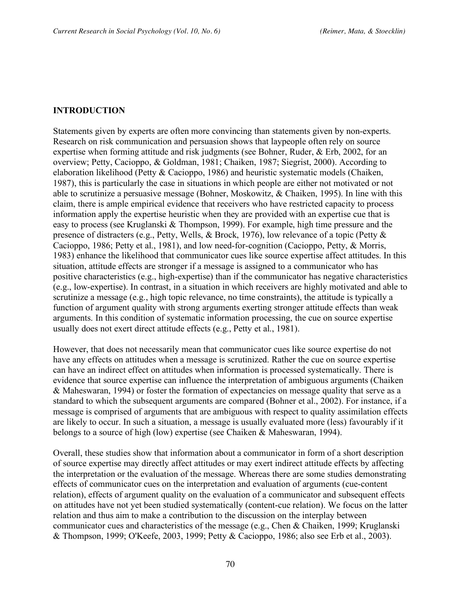#### **INTRODUCTION**

Statements given by experts are often more convincing than statements given by non-experts. Research on risk communication and persuasion shows that laypeople often rely on source expertise when forming attitude and risk judgments (see Bohner, Ruder, & Erb, 2002, for an overview; Petty, Cacioppo, & Goldman, 1981; Chaiken, 1987; Siegrist, 2000). According to elaboration likelihood (Petty & Cacioppo, 1986) and heuristic systematic models (Chaiken, 1987), this is particularly the case in situations in which people are either not motivated or not able to scrutinize a persuasive message (Bohner, Moskowitz, & Chaiken, 1995). In line with this claim, there is ample empirical evidence that receivers who have restricted capacity to process information apply the expertise heuristic when they are provided with an expertise cue that is easy to process (see Kruglanski & Thompson, 1999). For example, high time pressure and the presence of distracters (e.g., Petty, Wells, & Brock, 1976), low relevance of a topic (Petty & Cacioppo, 1986; Petty et al., 1981), and low need-for-cognition (Cacioppo, Petty, & Morris, 1983) enhance the likelihood that communicator cues like source expertise affect attitudes. In this situation, attitude effects are stronger if a message is assigned to a communicator who has positive characteristics (e.g., high-expertise) than if the communicator has negative characteristics (e.g., low-expertise). In contrast, in a situation in which receivers are highly motivated and able to scrutinize a message (e.g., high topic relevance, no time constraints), the attitude is typically a function of argument quality with strong arguments exerting stronger attitude effects than weak arguments. In this condition of systematic information processing, the cue on source expertise usually does not exert direct attitude effects (e.g., Petty et al., 1981).

However, that does not necessarily mean that communicator cues like source expertise do not have any effects on attitudes when a message is scrutinized. Rather the cue on source expertise can have an indirect effect on attitudes when information is processed systematically. There is evidence that source expertise can influence the interpretation of ambiguous arguments (Chaiken & Maheswaran, 1994) or foster the formation of expectancies on message quality that serve as a standard to which the subsequent arguments are compared (Bohner et al., 2002). For instance, if a message is comprised of arguments that are ambiguous with respect to quality assimilation effects are likely to occur. In such a situation, a message is usually evaluated more (less) favourably if it belongs to a source of high (low) expertise (see Chaiken & Maheswaran, 1994).

Overall, these studies show that information about a communicator in form of a short description of source expertise may directly affect attitudes or may exert indirect attitude effects by affecting the interpretation or the evaluation of the message. Whereas there are some studies demonstrating effects of communicator cues on the interpretation and evaluation of arguments (cue-content relation), effects of argument quality on the evaluation of a communicator and subsequent effects on attitudes have not yet been studied systematically (content-cue relation). We focus on the latter relation and thus aim to make a contribution to the discussion on the interplay between communicator cues and characteristics of the message (e.g., Chen & Chaiken, 1999; Kruglanski & Thompson, 1999; O'Keefe, 2003, 1999; Petty & Cacioppo, 1986; also see Erb et al., 2003).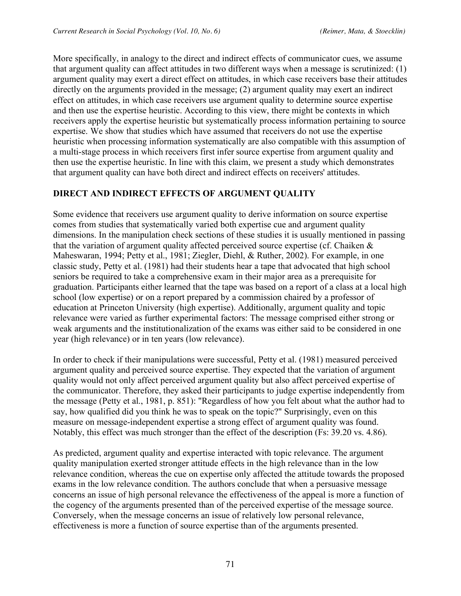More specifically, in analogy to the direct and indirect effects of communicator cues, we assume that argument quality can affect attitudes in two different ways when a message is scrutinized: (1) argument quality may exert a direct effect on attitudes, in which case receivers base their attitudes directly on the arguments provided in the message; (2) argument quality may exert an indirect effect on attitudes, in which case receivers use argument quality to determine source expertise and then use the expertise heuristic. According to this view, there might be contexts in which receivers apply the expertise heuristic but systematically process information pertaining to source expertise. We show that studies which have assumed that receivers do not use the expertise heuristic when processing information systematically are also compatible with this assumption of a multi-stage process in which receivers first infer source expertise from argument quality and then use the expertise heuristic. In line with this claim, we present a study which demonstrates that argument quality can have both direct and indirect effects on receivers' attitudes.

## **DIRECT AND INDIRECT EFFECTS OF ARGUMENT QUALITY**

Some evidence that receivers use argument quality to derive information on source expertise comes from studies that systematically varied both expertise cue and argument quality dimensions. In the manipulation check sections of these studies it is usually mentioned in passing that the variation of argument quality affected perceived source expertise (cf. Chaiken & Maheswaran, 1994; Petty et al., 1981; Ziegler, Diehl, & Ruther, 2002). For example, in one classic study, Petty et al. (1981) had their students hear a tape that advocated that high school seniors be required to take a comprehensive exam in their major area as a prerequisite for graduation. Participants either learned that the tape was based on a report of a class at a local high school (low expertise) or on a report prepared by a commission chaired by a professor of education at Princeton University (high expertise). Additionally, argument quality and topic relevance were varied as further experimental factors: The message comprised either strong or weak arguments and the institutionalization of the exams was either said to be considered in one year (high relevance) or in ten years (low relevance).

In order to check if their manipulations were successful, Petty et al. (1981) measured perceived argument quality and perceived source expertise. They expected that the variation of argument quality would not only affect perceived argument quality but also affect perceived expertise of the communicator. Therefore, they asked their participants to judge expertise independently from the message (Petty et al., 1981, p. 851): "Regardless of how you felt about what the author had to say, how qualified did you think he was to speak on the topic?" Surprisingly, even on this measure on message-independent expertise a strong effect of argument quality was found. Notably, this effect was much stronger than the effect of the description (Fs: 39.20 vs. 4.86).

As predicted, argument quality and expertise interacted with topic relevance. The argument quality manipulation exerted stronger attitude effects in the high relevance than in the low relevance condition, whereas the cue on expertise only affected the attitude towards the proposed exams in the low relevance condition. The authors conclude that when a persuasive message concerns an issue of high personal relevance the effectiveness of the appeal is more a function of the cogency of the arguments presented than of the perceived expertise of the message source. Conversely, when the message concerns an issue of relatively low personal relevance, effectiveness is more a function of source expertise than of the arguments presented.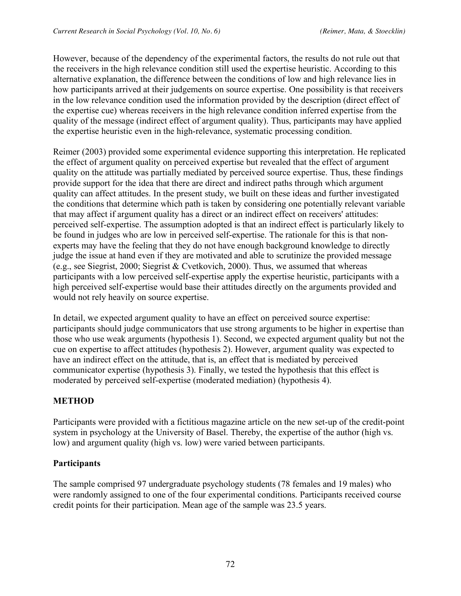However, because of the dependency of the experimental factors, the results do not rule out that the receivers in the high relevance condition still used the expertise heuristic. According to this alternative explanation, the difference between the conditions of low and high relevance lies in how participants arrived at their judgements on source expertise. One possibility is that receivers in the low relevance condition used the information provided by the description (direct effect of the expertise cue) whereas receivers in the high relevance condition inferred expertise from the quality of the message (indirect effect of argument quality). Thus, participants may have applied the expertise heuristic even in the high-relevance, systematic processing condition.

Reimer (2003) provided some experimental evidence supporting this interpretation. He replicated the effect of argument quality on perceived expertise but revealed that the effect of argument quality on the attitude was partially mediated by perceived source expertise. Thus, these findings provide support for the idea that there are direct and indirect paths through which argument quality can affect attitudes. In the present study, we built on these ideas and further investigated the conditions that determine which path is taken by considering one potentially relevant variable that may affect if argument quality has a direct or an indirect effect on receivers' attitudes: perceived self-expertise. The assumption adopted is that an indirect effect is particularly likely to be found in judges who are low in perceived self-expertise. The rationale for this is that nonexperts may have the feeling that they do not have enough background knowledge to directly judge the issue at hand even if they are motivated and able to scrutinize the provided message (e.g., see Siegrist, 2000; Siegrist & Cvetkovich, 2000). Thus, we assumed that whereas participants with a low perceived self-expertise apply the expertise heuristic, participants with a high perceived self-expertise would base their attitudes directly on the arguments provided and would not rely heavily on source expertise.

In detail, we expected argument quality to have an effect on perceived source expertise: participants should judge communicators that use strong arguments to be higher in expertise than those who use weak arguments (hypothesis 1). Second, we expected argument quality but not the cue on expertise to affect attitudes (hypothesis 2). However, argument quality was expected to have an indirect effect on the attitude, that is, an effect that is mediated by perceived communicator expertise (hypothesis 3). Finally, we tested the hypothesis that this effect is moderated by perceived self-expertise (moderated mediation) (hypothesis 4).

## **METHOD**

Participants were provided with a fictitious magazine article on the new set-up of the credit-point system in psychology at the University of Basel. Thereby, the expertise of the author (high vs. low) and argument quality (high vs. low) were varied between participants.

#### **Participants**

The sample comprised 97 undergraduate psychology students (78 females and 19 males) who were randomly assigned to one of the four experimental conditions. Participants received course credit points for their participation. Mean age of the sample was 23.5 years.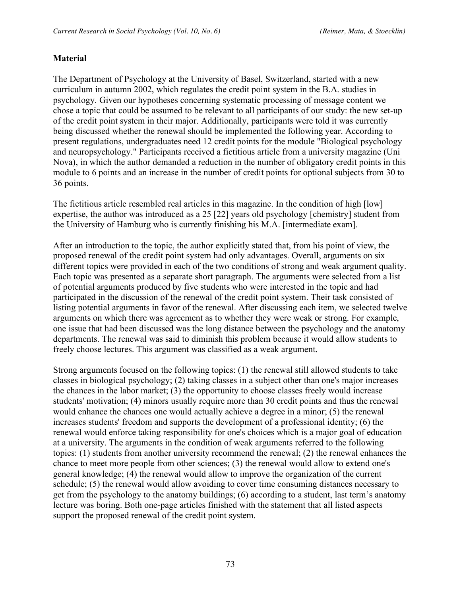## **Material**

The Department of Psychology at the University of Basel, Switzerland, started with a new curriculum in autumn 2002, which regulates the credit point system in the B.A. studies in psychology. Given our hypotheses concerning systematic processing of message content we chose a topic that could be assumed to be relevant to all participants of our study: the new set-up of the credit point system in their major. Additionally, participants were told it was currently being discussed whether the renewal should be implemented the following year. According to present regulations, undergraduates need 12 credit points for the module "Biological psychology and neuropsychology." Participants received a fictitious article from a university magazine (Uni Nova), in which the author demanded a reduction in the number of obligatory credit points in this module to 6 points and an increase in the number of credit points for optional subjects from 30 to 36 points.

The fictitious article resembled real articles in this magazine. In the condition of high [low] expertise, the author was introduced as a 25 [22] years old psychology [chemistry] student from the University of Hamburg who is currently finishing his M.A. [intermediate exam].

After an introduction to the topic, the author explicitly stated that, from his point of view, the proposed renewal of the credit point system had only advantages. Overall, arguments on six different topics were provided in each of the two conditions of strong and weak argument quality. Each topic was presented as a separate short paragraph. The arguments were selected from a list of potential arguments produced by five students who were interested in the topic and had participated in the discussion of the renewal of the credit point system. Their task consisted of listing potential arguments in favor of the renewal. After discussing each item, we selected twelve arguments on which there was agreement as to whether they were weak or strong. For example, one issue that had been discussed was the long distance between the psychology and the anatomy departments. The renewal was said to diminish this problem because it would allow students to freely choose lectures. This argument was classified as a weak argument.

Strong arguments focused on the following topics: (1) the renewal still allowed students to take classes in biological psychology; (2) taking classes in a subject other than one's major increases the chances in the labor market; (3) the opportunity to choose classes freely would increase students' motivation; (4) minors usually require more than 30 credit points and thus the renewal would enhance the chances one would actually achieve a degree in a minor; (5) the renewal increases students' freedom and supports the development of a professional identity; (6) the renewal would enforce taking responsibility for one's choices which is a major goal of education at a university. The arguments in the condition of weak arguments referred to the following topics: (1) students from another university recommend the renewal; (2) the renewal enhances the chance to meet more people from other sciences; (3) the renewal would allow to extend one's general knowledge; (4) the renewal would allow to improve the organization of the current schedule; (5) the renewal would allow avoiding to cover time consuming distances necessary to get from the psychology to the anatomy buildings; (6) according to a student, last term's anatomy lecture was boring. Both one-page articles finished with the statement that all listed aspects support the proposed renewal of the credit point system.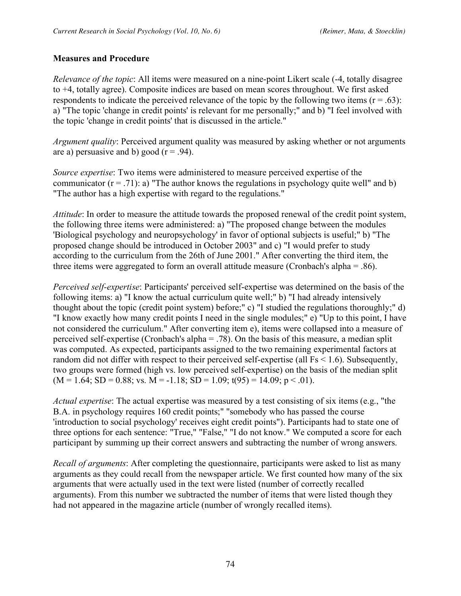#### **Measures and Procedure**

*Relevance of the topic*: All items were measured on a nine-point Likert scale (-4, totally disagree to +4, totally agree). Composite indices are based on mean scores throughout. We first asked respondents to indicate the perceived relevance of the topic by the following two items  $(r = .63)$ : a) "The topic 'change in credit points' is relevant for me personally;" and b) "I feel involved with the topic 'change in credit points' that is discussed in the article."

*Argument quality*: Perceived argument quality was measured by asking whether or not arguments are a) persuasive and b) good  $(r = .94)$ .

*Source expertise*: Two items were administered to measure perceived expertise of the communicator  $(r = .71)$ : a) "The author knows the regulations in psychology quite well" and b) "The author has a high expertise with regard to the regulations."

*Attitude*: In order to measure the attitude towards the proposed renewal of the credit point system, the following three items were administered: a) "The proposed change between the modules 'Biological psychology and neuropsychology' in favor of optional subjects is useful;" b) "The proposed change should be introduced in October 2003" and c) "I would prefer to study according to the curriculum from the 26th of June 2001." After converting the third item, the three items were aggregated to form an overall attitude measure (Cronbach's alpha = .86).

*Perceived self-expertise*: Participants' perceived self-expertise was determined on the basis of the following items: a) "I know the actual curriculum quite well;" b) "I had already intensively thought about the topic (credit point system) before;" c) "I studied the regulations thoroughly;" d) "I know exactly how many credit points I need in the single modules;" e) "Up to this point, I have not considered the curriculum." After converting item e), items were collapsed into a measure of perceived self-expertise (Cronbach's alpha = .78). On the basis of this measure, a median split was computed. As expected, participants assigned to the two remaining experimental factors at random did not differ with respect to their perceived self-expertise (all Fs < 1.6). Subsequently, two groups were formed (high vs. low perceived self-expertise) on the basis of the median split  $(M = 1.64; SD = 0.88; vs. M = -1.18; SD = 1.09; t(95) = 14.09; p < .01)$ .

*Actual expertise*: The actual expertise was measured by a test consisting of six items (e.g., "the B.A. in psychology requires 160 credit points;" "somebody who has passed the course 'introduction to social psychology' receives eight credit points"). Participants had to state one of three options for each sentence: "True," "False," "I do not know." We computed a score for each participant by summing up their correct answers and subtracting the number of wrong answers.

*Recall of arguments*: After completing the questionnaire, participants were asked to list as many arguments as they could recall from the newspaper article. We first counted how many of the six arguments that were actually used in the text were listed (number of correctly recalled arguments). From this number we subtracted the number of items that were listed though they had not appeared in the magazine article (number of wrongly recalled items).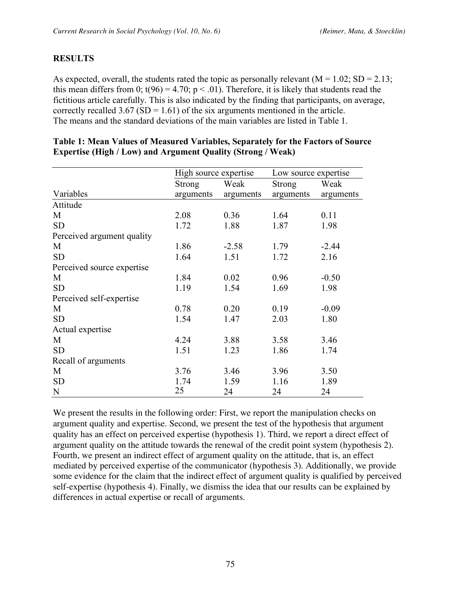## **RESULTS**

As expected, overall, the students rated the topic as personally relevant  $(M = 1.02; SD = 2.13;$ this mean differs from 0;  $t(96) = 4.70$ ;  $p < .01$ ). Therefore, it is likely that students read the fictitious article carefully. This is also indicated by the finding that participants, on average, correctly recalled  $3.67$  (SD = 1.61) of the six arguments mentioned in the article. The means and the standard deviations of the main variables are listed in Table 1.

|                            | High source expertise |           | Low source expertise |           |
|----------------------------|-----------------------|-----------|----------------------|-----------|
|                            | <b>Strong</b>         | Weak      | <b>Strong</b>        | Weak      |
| Variables                  | arguments             | arguments | arguments            | arguments |
| Attitude                   |                       |           |                      |           |
| M                          | 2.08                  | 0.36      | 1.64                 | 0.11      |
| <b>SD</b>                  | 1.72                  | 1.88      | 1.87                 | 1.98      |
| Perceived argument quality |                       |           |                      |           |
| M                          | 1.86                  | $-2.58$   | 1.79                 | $-2.44$   |
| <b>SD</b>                  | 1.64                  | 1.51      | 1.72                 | 2.16      |
| Perceived source expertise |                       |           |                      |           |
| M                          | 1.84                  | 0.02      | 0.96                 | $-0.50$   |
| <b>SD</b>                  | 1.19                  | 1.54      | 1.69                 | 1.98      |
| Perceived self-expertise   |                       |           |                      |           |
| M                          | 0.78                  | 0.20      | 0.19                 | $-0.09$   |
| <b>SD</b>                  | 1.54                  | 1.47      | 2.03                 | 1.80      |
| Actual expertise           |                       |           |                      |           |
| M                          | 4.24                  | 3.88      | 3.58                 | 3.46      |
| <b>SD</b>                  | 1.51                  | 1.23      | 1.86                 | 1.74      |
| Recall of arguments        |                       |           |                      |           |
| M                          | 3.76                  | 3.46      | 3.96                 | 3.50      |
| <b>SD</b>                  | 1.74                  | 1.59      | 1.16                 | 1.89      |
| N                          | 25                    | 24        | 24                   | 24        |

#### **Table 1: Mean Values of Measured Variables, Separately for the Factors of Source Expertise (High / Low) and Argument Quality (Strong / Weak)**

We present the results in the following order: First, we report the manipulation checks on argument quality and expertise. Second, we present the test of the hypothesis that argument quality has an effect on perceived expertise (hypothesis 1). Third, we report a direct effect of argument quality on the attitude towards the renewal of the credit point system (hypothesis 2). Fourth, we present an indirect effect of argument quality on the attitude, that is, an effect mediated by perceived expertise of the communicator (hypothesis 3). Additionally, we provide some evidence for the claim that the indirect effect of argument quality is qualified by perceived self-expertise (hypothesis 4). Finally, we dismiss the idea that our results can be explained by differences in actual expertise or recall of arguments.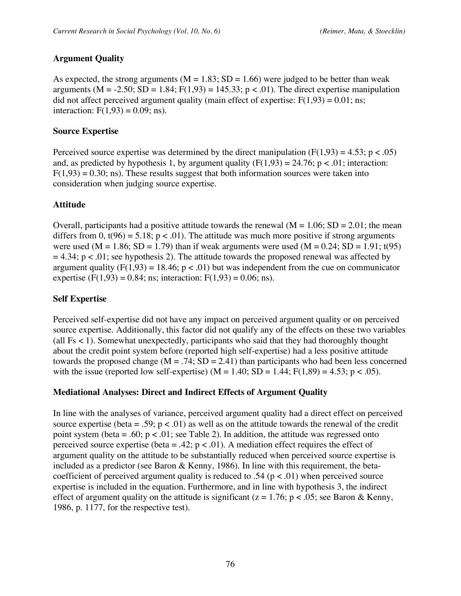## **Argument Quality**

As expected, the strong arguments ( $M = 1.83$ ;  $SD = 1.66$ ) were judged to be better than weak arguments ( $M = -2.50$ ;  $SD = 1.84$ ;  $F(1,93) = 145.33$ ;  $p < .01$ ). The direct expertise manipulation did not affect perceived argument quality (main effect of expertise:  $F(1,93) = 0.01$ ; ns; interaction:  $F(1,93) = 0.09$ ; ns).

#### **Source Expertise**

Perceived source expertise was determined by the direct manipulation  $(F(1,93) = 4.53; p < .05)$ and, as predicted by hypothesis 1, by argument quality  $(F(1,93) = 24.76; p < .01;$  interaction:  $F(1,93) = 0.30$ ; ns). These results suggest that both information sources were taken into consideration when judging source expertise.

#### **Attitude**

Overall, participants had a positive attitude towards the renewal  $(M = 1.06; SD = 2.01;$  the mean differs from 0,  $t(96) = 5.18$ ;  $p < .01$ ). The attitude was much more positive if strong arguments were used (M = 1.86; SD = 1.79) than if weak arguments were used (M = 0.24; SD = 1.91; t(95)  $= 4.34$ ; p < .01; see hypothesis 2). The attitude towards the proposed renewal was affected by argument quality ( $F(1,93) = 18.46$ ;  $p < .01$ ) but was independent from the cue on communicator expertise (F(1,93) = 0.84; ns; interaction: F(1,93) = 0.06; ns).

#### **Self Expertise**

Perceived self-expertise did not have any impact on perceived argument quality or on perceived source expertise. Additionally, this factor did not qualify any of the effects on these two variables (all Fs < 1). Somewhat unexpectedly, participants who said that they had thoroughly thought about the credit point system before (reported high self-expertise) had a less positive attitude towards the proposed change  $(M = .74; SD = 2.41)$  than participants who had been less concerned with the issue (reported low self-expertise) ( $M = 1.40$ ;  $SD = 1.44$ ;  $F(1,89) = 4.53$ ; p < .05).

#### **Mediational Analyses: Direct and Indirect Effects of Argument Quality**

In line with the analyses of variance, perceived argument quality had a direct effect on perceived source expertise (beta = .59;  $p < .01$ ) as well as on the attitude towards the renewal of the credit point system (beta = .60;  $p < .01$ ; see Table 2). In addition, the attitude was regressed onto perceived source expertise (beta = .42;  $p < .01$ ). A mediation effect requires the effect of argument quality on the attitude to be substantially reduced when perceived source expertise is included as a predictor (see Baron & Kenny, 1986). In line with this requirement, the betacoefficient of perceived argument quality is reduced to .54 ( $p < .01$ ) when perceived source expertise is included in the equation. Furthermore, and in line with hypothesis 3, the indirect effect of argument quality on the attitude is significant ( $z = 1.76$ ;  $p < .05$ ; see Baron & Kenny, 1986, p. 1177, for the respective test).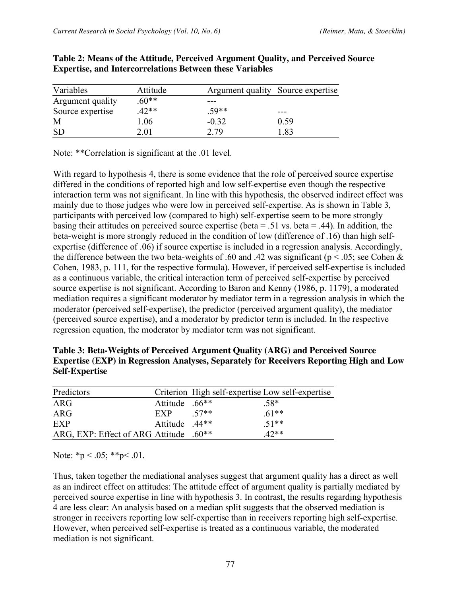| Variables        | Attitude | Argument quality Source expertise |      |
|------------------|----------|-----------------------------------|------|
| Argument quality | $60**$   |                                   |      |
| Source expertise | $42**$   | $.59**$                           | ---  |
| M                | .06      | $-0.32$                           | 0.59 |
|                  | 2.01     | 2.79                              | .83  |

**Table 2: Means of the Attitude, Perceived Argument Quality, and Perceived Source Expertise, and Intercorrelations Between these Variables**

Note: \*\*Correlation is significant at the .01 level.

With regard to hypothesis 4, there is some evidence that the role of perceived source expertise differed in the conditions of reported high and low self-expertise even though the respective interaction term was not significant. In line with this hypothesis, the observed indirect effect was mainly due to those judges who were low in perceived self-expertise. As is shown in Table 3, participants with perceived low (compared to high) self-expertise seem to be more strongly basing their attitudes on perceived source expertise (beta =  $.51$  vs. beta =  $.44$ ). In addition, the beta-weight is more strongly reduced in the condition of low (difference of .16) than high selfexpertise (difference of .06) if source expertise is included in a regression analysis. Accordingly, the difference between the two beta-weights of .60 and .42 was significant ( $p < .05$ ; see Cohen & Cohen, 1983, p. 111, for the respective formula). However, if perceived self-expertise is included as a continuous variable, the critical interaction term of perceived self-expertise by perceived source expertise is not significant. According to Baron and Kenny (1986, p. 1179), a moderated mediation requires a significant moderator by mediator term in a regression analysis in which the moderator (perceived self-expertise), the predictor (perceived argument quality), the mediator (perceived source expertise), and a moderator by predictor term is included. In the respective regression equation, the moderator by mediator term was not significant.

| Table 3: Beta-Weights of Perceived Argument Quality (ARG) and Perceived Source                 |
|------------------------------------------------------------------------------------------------|
| <b>Expertise (EXP) in Regression Analyses, Separately for Receivers Reporting High and Low</b> |
| <b>Self-Expertise</b>                                                                          |

| Predictors                                         |                |      | Criterion High self-expertise Low self-expertise |
|----------------------------------------------------|----------------|------|--------------------------------------------------|
| ARG                                                | Attitude .66** |      | $.58*$                                           |
| ARG                                                | EXP            | 57** | $.61**$                                          |
| EXP                                                | Attitude .44** |      | $51**$                                           |
| ARG, EXP: Effect of ARG Attitude .60 <sup>**</sup> |                |      | $42**$                                           |

Note:  $*_{p} < .05;$   $*_{p} < .01$ .

Thus, taken together the mediational analyses suggest that argument quality has a direct as well as an indirect effect on attitudes: The attitude effect of argument quality is partially mediated by perceived source expertise in line with hypothesis 3. In contrast, the results regarding hypothesis 4 are less clear: An analysis based on a median split suggests that the observed mediation is stronger in receivers reporting low self-expertise than in receivers reporting high self-expertise. However, when perceived self-expertise is treated as a continuous variable, the moderated mediation is not significant.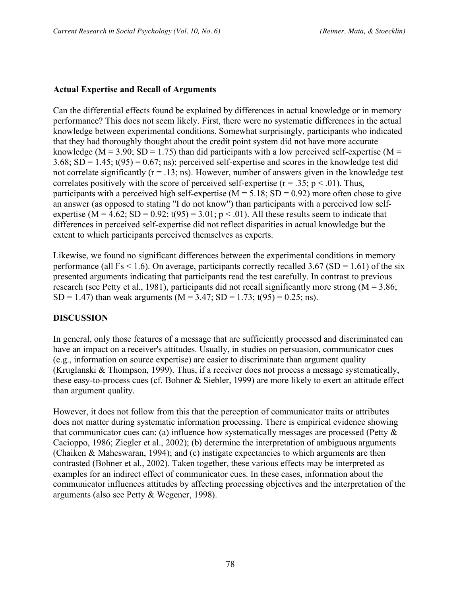## **Actual Expertise and Recall of Arguments**

Can the differential effects found be explained by differences in actual knowledge or in memory performance? This does not seem likely. First, there were no systematic differences in the actual knowledge between experimental conditions. Somewhat surprisingly, participants who indicated that they had thoroughly thought about the credit point system did not have more accurate knowledge ( $M = 3.90$ ; SD = 1.75) than did participants with a low perceived self-expertise ( $M =$  $3.68$ ; SD = 1.45;  $t(95) = 0.67$ ; ns); perceived self-expertise and scores in the knowledge test did not correlate significantly  $(r = .13; ns)$ . However, number of answers given in the knowledge test correlates positively with the score of perceived self-expertise ( $r = .35$ ;  $p < .01$ ). Thus, participants with a perceived high self-expertise ( $M = 5.18$ ; SD = 0.92) more often chose to give an answer (as opposed to stating "I do not know") than participants with a perceived low selfexpertise (M = 4.62; SD = 0.92;  $t(95) = 3.01$ ; p < .01). All these results seem to indicate that differences in perceived self-expertise did not reflect disparities in actual knowledge but the extent to which participants perceived themselves as experts.

Likewise, we found no significant differences between the experimental conditions in memory performance (all Fs < 1.6). On average, participants correctly recalled 3.67 (SD = 1.61) of the six presented arguments indicating that participants read the test carefully. In contrast to previous research (see Petty et al., 1981), participants did not recall significantly more strong ( $M = 3.86$ ; SD = 1.47) than weak arguments (M = 3.47; SD = 1.73; t(95) = 0.25; ns).

#### **DISCUSSION**

In general, only those features of a message that are sufficiently processed and discriminated can have an impact on a receiver's attitudes. Usually, in studies on persuasion, communicator cues (e.g., information on source expertise) are easier to discriminate than argument quality (Kruglanski & Thompson, 1999). Thus, if a receiver does not process a message systematically, these easy-to-process cues (cf. Bohner & Siebler, 1999) are more likely to exert an attitude effect than argument quality.

However, it does not follow from this that the perception of communicator traits or attributes does not matter during systematic information processing. There is empirical evidence showing that communicator cues can: (a) influence how systematically messages are processed (Petty & Cacioppo, 1986; Ziegler et al., 2002); (b) determine the interpretation of ambiguous arguments (Chaiken & Maheswaran, 1994); and (c) instigate expectancies to which arguments are then contrasted (Bohner et al., 2002). Taken together, these various effects may be interpreted as examples for an indirect effect of communicator cues. In these cases, information about the communicator influences attitudes by affecting processing objectives and the interpretation of the arguments (also see Petty & Wegener, 1998).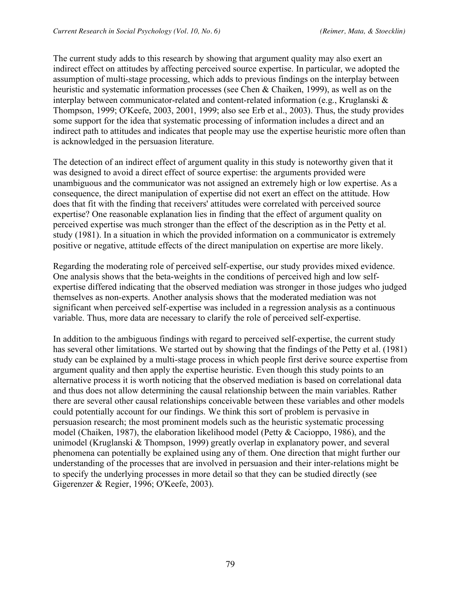The current study adds to this research by showing that argument quality may also exert an indirect effect on attitudes by affecting perceived source expertise. In particular, we adopted the assumption of multi-stage processing, which adds to previous findings on the interplay between heuristic and systematic information processes (see Chen & Chaiken, 1999), as well as on the interplay between communicator-related and content-related information (e.g., Kruglanski & Thompson, 1999; O'Keefe, 2003, 2001, 1999; also see Erb et al., 2003). Thus, the study provides some support for the idea that systematic processing of information includes a direct and an indirect path to attitudes and indicates that people may use the expertise heuristic more often than is acknowledged in the persuasion literature.

The detection of an indirect effect of argument quality in this study is noteworthy given that it was designed to avoid a direct effect of source expertise: the arguments provided were unambiguous and the communicator was not assigned an extremely high or low expertise. As a consequence, the direct manipulation of expertise did not exert an effect on the attitude. How does that fit with the finding that receivers' attitudes were correlated with perceived source expertise? One reasonable explanation lies in finding that the effect of argument quality on perceived expertise was much stronger than the effect of the description as in the Petty et al. study (1981). In a situation in which the provided information on a communicator is extremely positive or negative, attitude effects of the direct manipulation on expertise are more likely.

Regarding the moderating role of perceived self-expertise, our study provides mixed evidence. One analysis shows that the beta-weights in the conditions of perceived high and low selfexpertise differed indicating that the observed mediation was stronger in those judges who judged themselves as non-experts. Another analysis shows that the moderated mediation was not significant when perceived self-expertise was included in a regression analysis as a continuous variable. Thus, more data are necessary to clarify the role of perceived self-expertise.

In addition to the ambiguous findings with regard to perceived self-expertise, the current study has several other limitations. We started out by showing that the findings of the Petty et al. (1981) study can be explained by a multi-stage process in which people first derive source expertise from argument quality and then apply the expertise heuristic. Even though this study points to an alternative process it is worth noticing that the observed mediation is based on correlational data and thus does not allow determining the causal relationship between the main variables. Rather there are several other causal relationships conceivable between these variables and other models could potentially account for our findings. We think this sort of problem is pervasive in persuasion research; the most prominent models such as the heuristic systematic processing model (Chaiken, 1987), the elaboration likelihood model (Petty & Cacioppo, 1986), and the unimodel (Kruglanski & Thompson, 1999) greatly overlap in explanatory power, and several phenomena can potentially be explained using any of them. One direction that might further our understanding of the processes that are involved in persuasion and their inter-relations might be to specify the underlying processes in more detail so that they can be studied directly (see Gigerenzer & Regier, 1996; O'Keefe, 2003).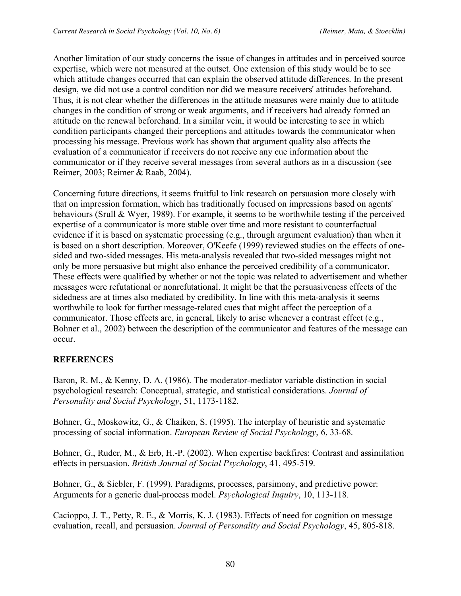Another limitation of our study concerns the issue of changes in attitudes and in perceived source expertise, which were not measured at the outset. One extension of this study would be to see which attitude changes occurred that can explain the observed attitude differences. In the present design, we did not use a control condition nor did we measure receivers' attitudes beforehand. Thus, it is not clear whether the differences in the attitude measures were mainly due to attitude changes in the condition of strong or weak arguments, and if receivers had already formed an attitude on the renewal beforehand. In a similar vein, it would be interesting to see in which condition participants changed their perceptions and attitudes towards the communicator when processing his message. Previous work has shown that argument quality also affects the evaluation of a communicator if receivers do not receive any cue information about the communicator or if they receive several messages from several authors as in a discussion (see Reimer, 2003; Reimer & Raab, 2004).

Concerning future directions, it seems fruitful to link research on persuasion more closely with that on impression formation, which has traditionally focused on impressions based on agents' behaviours (Srull & Wyer, 1989). For example, it seems to be worthwhile testing if the perceived expertise of a communicator is more stable over time and more resistant to counterfactual evidence if it is based on systematic processing (e.g., through argument evaluation) than when it is based on a short description. Moreover, O'Keefe (1999) reviewed studies on the effects of onesided and two-sided messages. His meta-analysis revealed that two-sided messages might not only be more persuasive but might also enhance the perceived credibility of a communicator. These effects were qualified by whether or not the topic was related to advertisement and whether messages were refutational or nonrefutational. It might be that the persuasiveness effects of the sidedness are at times also mediated by credibility. In line with this meta-analysis it seems worthwhile to look for further message-related cues that might affect the perception of a communicator. Those effects are, in general, likely to arise whenever a contrast effect (e.g., Bohner et al., 2002) between the description of the communicator and features of the message can occur.

#### **REFERENCES**

Baron, R. M., & Kenny, D. A. (1986). The moderator-mediator variable distinction in social psychological research: Conceptual, strategic, and statistical considerations. *Journal of Personality and Social Psychology*, 51, 1173-1182.

Bohner, G., Moskowitz, G., & Chaiken, S. (1995). The interplay of heuristic and systematic processing of social information. *European Review of Social Psychology*, 6, 33-68.

Bohner, G., Ruder, M., & Erb, H.-P. (2002). When expertise backfires: Contrast and assimilation effects in persuasion. *British Journal of Social Psychology*, 41, 495-519.

Bohner, G., & Siebler, F. (1999). Paradigms, processes, parsimony, and predictive power: Arguments for a generic dual-process model. *Psychological Inquiry*, 10, 113-118.

Cacioppo, J. T., Petty, R. E., & Morris, K. J. (1983). Effects of need for cognition on message evaluation, recall, and persuasion. *Journal of Personality and Social Psychology*, 45, 805-818.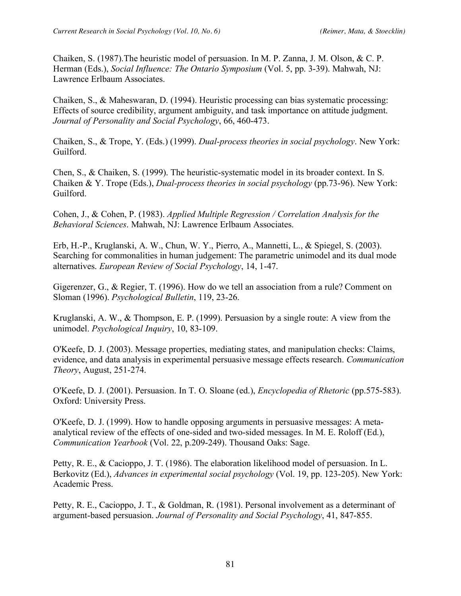Chaiken, S. (1987).The heuristic model of persuasion. In M. P. Zanna, J. M. Olson, & C. P. Herman (Eds.), *Social Influence: The Ontario Symposium* (Vol. 5, pp. 3-39). Mahwah, NJ: Lawrence Erlbaum Associates.

Chaiken, S., & Maheswaran, D. (1994). Heuristic processing can bias systematic processing: Effects of source credibility, argument ambiguity, and task importance on attitude judgment. *Journal of Personality and Social Psychology*, 66, 460-473.

Chaiken, S., & Trope, Y. (Eds.) (1999). *Dual-process theories in social psychology*. New York: Guilford.

Chen, S., & Chaiken, S. (1999). The heuristic-systematic model in its broader context. In S. Chaiken & Y. Trope (Eds.), *Dual-process theories in social psychology* (pp.73-96). New York: Guilford.

Cohen, J., & Cohen, P. (1983). *Applied Multiple Regression / Correlation Analysis for the Behavioral Sciences*. Mahwah, NJ: Lawrence Erlbaum Associates.

Erb, H.-P., Kruglanski, A. W., Chun, W. Y., Pierro, A., Mannetti, L., & Spiegel, S. (2003). Searching for commonalities in human judgement: The parametric unimodel and its dual mode alternatives. *European Review of Social Psychology*, 14, 1-47.

Gigerenzer, G., & Regier, T. (1996). How do we tell an association from a rule? Comment on Sloman (1996). *Psychological Bulletin*, 119, 23-26.

Kruglanski, A. W., & Thompson, E. P. (1999). Persuasion by a single route: A view from the unimodel. *Psychological Inquiry*, 10, 83-109.

O'Keefe, D. J. (2003). Message properties, mediating states, and manipulation checks: Claims, evidence, and data analysis in experimental persuasive message effects research. *Communication Theory*, August, 251-274.

O'Keefe, D. J. (2001). Persuasion. In T. O. Sloane (ed.), *Encyclopedia of Rhetoric* (pp.575-583). Oxford: University Press.

O'Keefe, D. J. (1999). How to handle opposing arguments in persuasive messages: A metaanalytical review of the effects of one-sided and two-sided messages. In M. E. Roloff (Ed.), *Communication Yearbook* (Vol. 22, p.209-249). Thousand Oaks: Sage.

Petty, R. E., & Cacioppo, J. T. (1986). The elaboration likelihood model of persuasion. In L. Berkovitz (Ed.), *Advances in experimental social psychology* (Vol. 19, pp. 123-205). New York: Academic Press.

Petty, R. E., Cacioppo, J. T., & Goldman, R. (1981). Personal involvement as a determinant of argument-based persuasion. *Journal of Personality and Social Psychology*, 41, 847-855.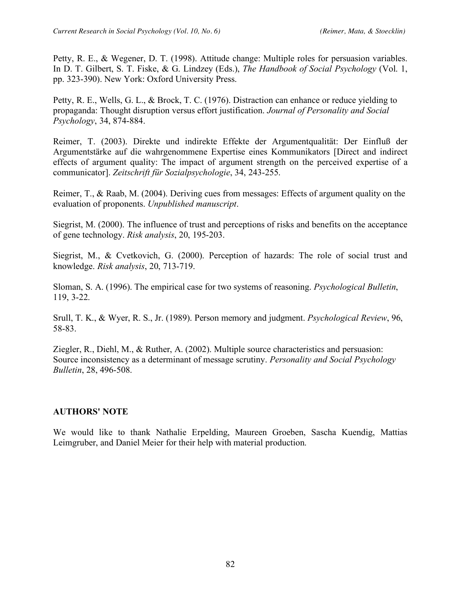Petty, R. E., & Wegener, D. T. (1998). Attitude change: Multiple roles for persuasion variables. In D. T. Gilbert, S. T. Fiske, & G. Lindzey (Eds.), *The Handbook of Social Psychology* (Vol. 1, pp. 323-390). New York: Oxford University Press.

Petty, R. E., Wells, G. L., & Brock, T. C. (1976). Distraction can enhance or reduce yielding to propaganda: Thought disruption versus effort justification. *Journal of Personality and Social Psychology*, 34, 874-884.

Reimer, T. (2003). Direkte und indirekte Effekte der Argumentqualität: Der Einfluß der Argumentstärke auf die wahrgenommene Expertise eines Kommunikators [Direct and indirect effects of argument quality: The impact of argument strength on the perceived expertise of a communicator]. *Zeitschrift für Sozialpsychologie*, 34, 243-255.

Reimer, T., & Raab, M. (2004). Deriving cues from messages: Effects of argument quality on the evaluation of proponents. *Unpublished manuscript*.

Siegrist, M. (2000). The influence of trust and perceptions of risks and benefits on the acceptance of gene technology. *Risk analysis*, 20, 195-203.

Siegrist, M., & Cvetkovich, G. (2000). Perception of hazards: The role of social trust and knowledge. *Risk analysis*, 20, 713-719.

Sloman, S. A. (1996). The empirical case for two systems of reasoning. *Psychological Bulletin*, 119, 3-22.

Srull, T. K., & Wyer, R. S., Jr. (1989). Person memory and judgment. *Psychological Review*, 96, 58-83.

Ziegler, R., Diehl, M., & Ruther, A. (2002). Multiple source characteristics and persuasion: Source inconsistency as a determinant of message scrutiny. *Personality and Social Psychology Bulletin*, 28, 496-508.

#### **AUTHORS' NOTE**

We would like to thank Nathalie Erpelding, Maureen Groeben, Sascha Kuendig, Mattias Leimgruber, and Daniel Meier for their help with material production.